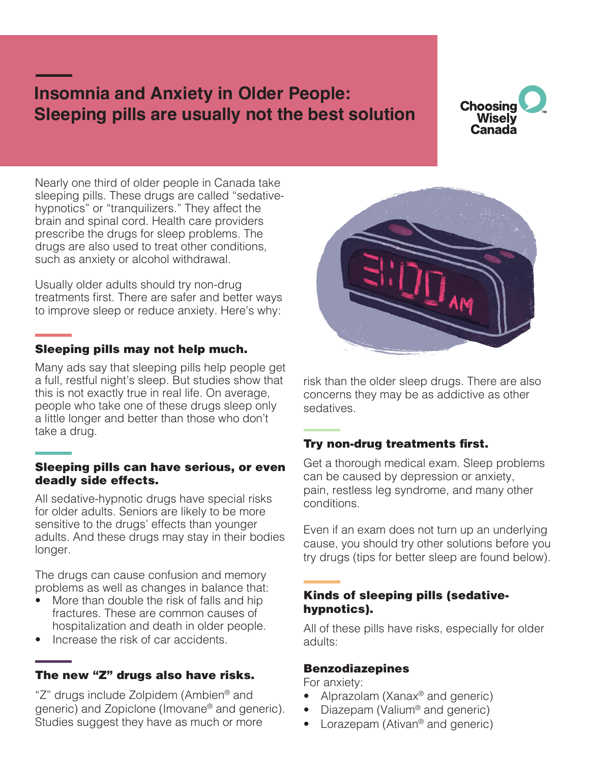# **Insomnia and Anxiety in Older People: Sleeping pills are usually not the best solution**

# **Choosing Wisely** Canada

Nearly one third of older people in Canada take sleeping pills. These drugs are called "sedativehypnotics" or "tranquilizers." They affect the brain and spinal cord. Health care providers prescribe the drugs for sleep problems. The drugs are also used to treat other conditions, such as anxiety or alcohol withdrawal.

Usually older adults should try non-drug treatments first. There are safer and better ways to improve sleep or reduce anxiety. Here's why:

### Sleeping pills may not help much.

Many ads say that sleeping pills help people get a full, restful night's sleep. But studies show that this is not exactly true in real life. On average, people who take one of these drugs sleep only a little longer and better than those who don't take a drug.

#### Sleeping pills can have serious, or even deadly side effects.

All sedative-hypnotic drugs have special risks for older adults. Seniors are likely to be more sensitive to the drugs' effects than younger adults. And these drugs may stay in their bodies longer.

The drugs can cause confusion and memory problems as well as changes in balance that:

- More than double the risk of falls and hip fractures. These are common causes of hospitalization and death in older people.
- Increase the risk of car accidents.

#### The new "Z" drugs also have risks.

"Z" drugs include Zolpidem (Ambien® and generic) and Zopiclone (Imovane® and generic). Studies suggest they have as much or more



risk than the older sleep drugs. There are also concerns they may be as addictive as other sedatives.

## Try non-drug treatments first.

Get a thorough medical exam. Sleep problems can be caused by depression or anxiety, pain, restless leg syndrome, and many other conditions.

Even if an exam does not turn up an underlying cause, you should try other solutions before you try drugs (tips for better sleep are found below).

### Kinds of sleeping pills (sedativehypnotics).

All of these pills have risks, especially for older adults:

#### Benzodiazepines

For anxiety:

- Alprazolam (Xanax<sup>®</sup> and generic)
- Diazepam (Valium® and generic)
- Lorazepam (Ativan<sup>®</sup> and generic)